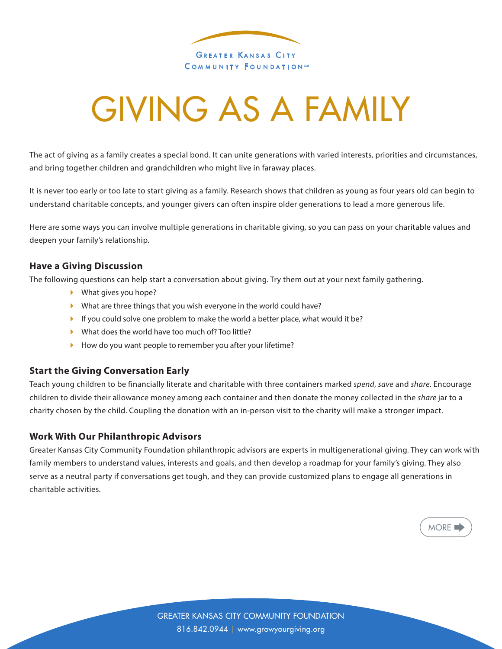

# GIVING AS A FAMILY

The act of giving as a family creates a special bond. It can unite generations with varied interests, priorities and circumstances, and bring together children and grandchildren who might live in faraway places.

It is never too early or too late to start giving as a family. Research shows that children as young as four years old can begin to understand charitable concepts, and younger givers can often inspire older generations to lead a more generous life.

Here are some ways you can involve multiple generations in charitable giving, so you can pass on your charitable values and deepen your family's relationship.

### **Have a Giving Discussion**

The following questions can help start a conversation about giving. Try them out at your next family gathering.

- } What gives you hope?
- } What are three things that you wish everyone in the world could have?
- $\blacktriangleright$  If you could solve one problem to make the world a better place, what would it be?
- } What does the world have too much of? Too little?
- ▶ How do you want people to remember you after your lifetime?

### **Start the Giving Conversation Early**

Teach young children to be financially literate and charitable with three containers marked *spend*, *save* and *share*. Encourage children to divide their allowance money among each container and then donate the money collected in the *share* jar to a charity chosen by the child. Coupling the donation with an in-person visit to the charity will make a stronger impact.

### **Work With Our Philanthropic Advisors**

Greater Kansas City Community Foundation philanthropic advisors are experts in multigenerational giving. They can work with family members to understand values, interests and goals, and then develop a roadmap for your family's giving. They also serve as a neutral party if conversations get tough, and they can provide customized plans to engage all generations in charitable activities.